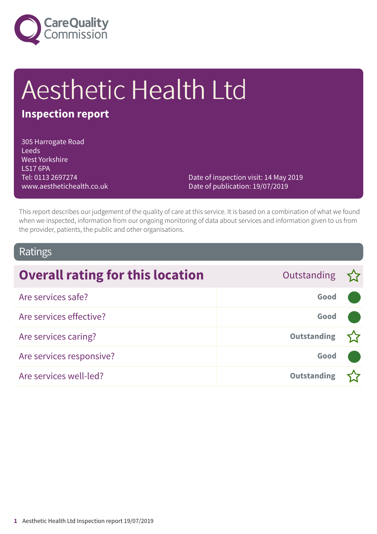

# Aesthetic Health Ltd

### **Inspection report**

305 Harrogate Road Leeds West Yorkshire LS17 6PA Tel: 0113 2697274 www.aesthetichealth.co.uk

Date of inspection visit: 14 May 2019 Date of publication: 19/07/2019

This report describes our judgement of the quality of care at this service. It is based on a combination of what we found when we inspected, information from our ongoing monitoring of data about services and information given to us from the provider, patients, the public and other organisations.

### Ratings

| <b>Overall rating for this location</b> | Outstanding        |  |
|-----------------------------------------|--------------------|--|
| Are services safe?                      | Good               |  |
| Are services effective?                 | Good               |  |
| Are services caring?                    | <b>Outstanding</b> |  |
| Are services responsive?                | Good               |  |
| Are services well-led?                  | <b>Outstanding</b> |  |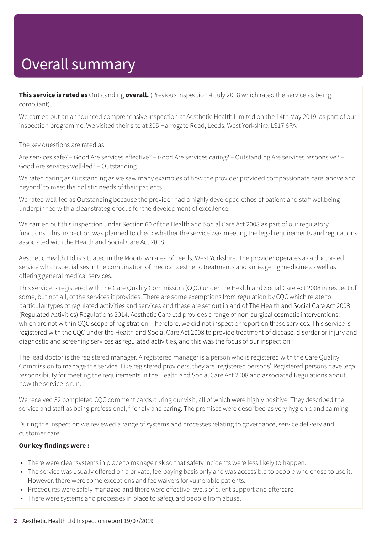# Overall summary

**This service is rated as** Outstanding **overall.** (Previous inspection 4 July 2018 which rated the service as being compliant).

We carried out an announced comprehensive inspection at Aesthetic Health Limited on the 14th May 2019, as part of our inspection programme. We visited their site at 305 Harrogate Road, Leeds, West Yorkshire, LS17 6PA.

The key questions are rated as:

Are services safe? – Good Are services effective? – Good Are services caring? – Outstanding Are services responsive? – Good Are services well-led? – Outstanding

We rated caring as Outstanding as we saw many examples of how the provider provided compassionate care 'above and beyond' to meet the holistic needs of their patients.

We rated well-led as Outstanding because the provider had a highly developed ethos of patient and staff wellbeing underpinned with a clear strategic focus for the development of excellence.

We carried out this inspection under Section 60 of the Health and Social Care Act 2008 as part of our regulatory functions. This inspection was planned to check whether the service was meeting the legal requirements and regulations associated with the Health and Social Care Act 2008.

Aesthetic Health Ltd is situated in the Moortown area of Leeds, West Yorkshire. The provider operates as a doctor-led service which specialises in the combination of medical aesthetic treatments and anti-ageing medicine as well as offering general medical services.

This service is registered with the Care Quality Commission (CQC) under the Health and Social Care Act 2008 in respect of some, but not all, of the services it provides. There are some exemptions from regulation by CQC which relate to particular types of regulated activities and services and these are set out in and of The Health and Social Care Act 2008 (Regulated Activities) Regulations 2014. Aesthetic Care Ltd provides a range of non-surgical cosmetic interventions, which are not within CQC scope of registration. Therefore, we did not inspect or report on these services. This service is registered with the CQC under the Health and Social Care Act 2008 to provide treatment of disease, disorder or injury and diagnostic and screening services as regulated activities, and this was the focus of our inspection.

The lead doctor is the registered manager. A registered manager is a person who is registered with the Care Quality Commission to manage the service. Like registered providers, they are 'registered persons'. Registered persons have legal responsibility for meeting the requirements in the Health and Social Care Act 2008 and associated Regulations about how the service is run.

We received 32 completed CQC comment cards during our visit, all of which were highly positive. They described the service and staff as being professional, friendly and caring. The premises were described as very hygienic and calming.

During the inspection we reviewed a range of systems and processes relating to governance, service delivery and customer care.

#### **Our key findings were :**

- There were clear systems in place to manage risk so that safety incidents were less likely to happen.
- The service was usually offered on a private, fee-paying basis only and was accessible to people who chose to use it. However, there were some exceptions and fee waivers for vulnerable patients.
- Procedures were safely managed and there were effective levels of client support and aftercare.
- There were systems and processes in place to safeguard people from abuse.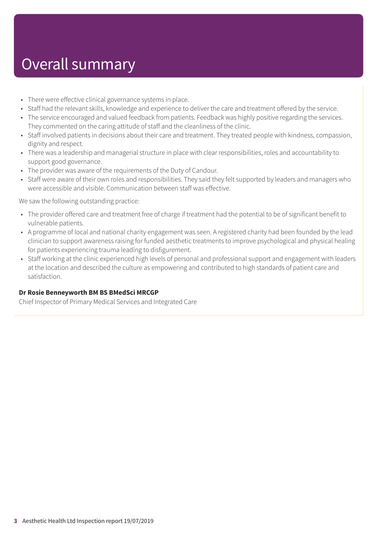### Overall summary

- There were effective clinical governance systems in place.
- Staff had the relevant skills, knowledge and experience to deliver the care and treatment offered by the service.
- The service encouraged and valued feedback from patients. Feedback was highly positive regarding the services. They commented on the caring attitude of staff and the cleanliness of the clinic.
- Staff involved patients in decisions about their care and treatment. They treated people with kindness, compassion, dignity and respect.
- There was a leadership and managerial structure in place with clear responsibilities, roles and accountability to support good governance.
- The provider was aware of the requirements of the Duty of Candour.
- Staff were aware of their own roles and responsibilities. They said they felt supported by leaders and managers who were accessible and visible. Communication between staff was effective.

We saw the following outstanding practice:

- The provider offered care and treatment free of charge if treatment had the potential to be of significant benefit to vulnerable patients.
- A programme of local and national charity engagement was seen. A registered charity had been founded by the lead clinician to support awareness raising for funded aesthetic treatments to improve psychological and physical healing for patients experiencing trauma leading to disfigurement.
- Staff working at the clinic experienced high levels of personal and professional support and engagement with leaders at the location and described the culture as empowering and contributed to high standards of patient care and satisfaction.

#### **Dr Rosie Benneyworth BM BS BMedSci MRCGP**

Chief Inspector of Primary Medical Services and Integrated Care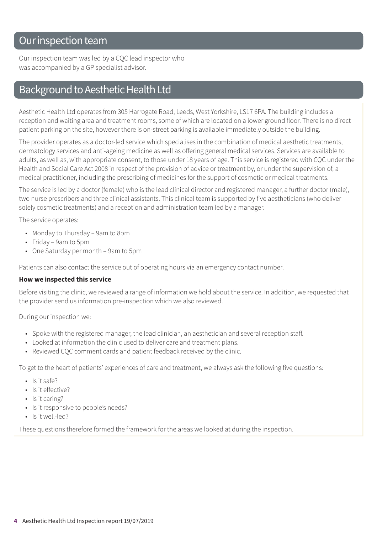### Our inspection team

Our inspection team was led by a CQC lead inspector who was accompanied by a GP specialist advisor.

### Background to Aesthetic Health Ltd

Aesthetic Health Ltd operates from 305 Harrogate Road, Leeds, West Yorkshire, LS17 6PA. The building includes a reception and waiting area and treatment rooms, some of which are located on a lower ground floor. There is no direct patient parking on the site, however there is on-street parking is available immediately outside the building.

The provider operates as a doctor-led service which specialises in the combination of medical aesthetic treatments, dermatology services and anti-ageing medicine as well as offering general medical services. Services are available to adults, as well as, with appropriate consent, to those under 18 years of age. This service is registered with CQC under the Health and Social Care Act 2008 in respect of the provision of advice or treatment by, or under the supervision of, a medical practitioner, including the prescribing of medicines for the support of cosmetic or medical treatments.

The service is led by a doctor (female) who is the lead clinical director and registered manager, a further doctor (male), two nurse prescribers and three clinical assistants. This clinical team is supported by five aestheticians (who deliver solely cosmetic treatments) and a reception and administration team led by a manager.

The service operates:

- Monday to Thursday 9am to 8pm
- Friday 9am to 5pm
- One Saturday per month 9am to 5pm

Patients can also contact the service out of operating hours via an emergency contact number.

#### **How we inspected this service**

Before visiting the clinic, we reviewed a range of information we hold about the service. In addition, we requested that the provider send us information pre-inspection which we also reviewed.

During our inspection we:

- Spoke with the registered manager, the lead clinician, an aesthetician and several reception staff.
- Looked at information the clinic used to deliver care and treatment plans.
- Reviewed CQC comment cards and patient feedback received by the clinic.

To get to the heart of patients' experiences of care and treatment, we always ask the following five questions:

- Is it safe?
- Is it effective?
- Is it caring?
- Is it responsive to people's needs?
- Is it well-led?

These questions therefore formed the framework for the areas we looked at during the inspection.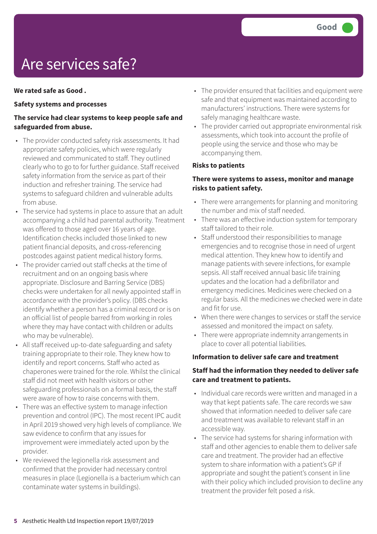## Are services safe?

#### **We rated safe as Good .**

#### **Safety systems and processes**

#### **The service had clear systems to keep people safe and safeguarded from abuse.**

- The provider conducted safety risk assessments. It had appropriate safety policies, which were regularly reviewed and communicated to staff. They outlined clearly who to go to for further guidance. Staff received safety information from the service as part of their induction and refresher training. The service had systems to safeguard children and vulnerable adults from abuse.
- The service had systems in place to assure that an adult accompanying a child had parental authority. Treatment was offered to those aged over 16 years of age. Identification checks included those linked to new patient financial deposits, and cross-referencing postcodes against patient medical history forms.
- The provider carried out staff checks at the time of recruitment and on an ongoing basis where appropriate. Disclosure and Barring Service (DBS) checks were undertaken for all newly appointed staff in accordance with the provider's policy. (DBS checks identify whether a person has a criminal record or is on an official list of people barred from working in roles where they may have contact with children or adults who may be vulnerable).
- All staff received up-to-date safeguarding and safety training appropriate to their role. They knew how to identify and report concerns. Staff who acted as chaperones were trained for the role. Whilst the clinical staff did not meet with health visitors or other safeguarding professionals on a formal basis, the staff were aware of how to raise concerns with them.
- There was an effective system to manage infection prevention and control (IPC). The most recent IPC audit in April 2019 showed very high levels of compliance. We saw evidence to confirm that any issues for improvement were immediately acted upon by the provider.
- We reviewed the legionella risk assessment and confirmed that the provider had necessary control measures in place (Legionella is a bacterium which can contaminate water systems in buildings).
- The provider ensured that facilities and equipment were safe and that equipment was maintained according to manufacturers' instructions. There were systems for safely managing healthcare waste.
- The provider carried out appropriate environmental risk assessments, which took into account the profile of people using the service and those who may be accompanying them.

#### **Risks to patients**

#### **There were systems to assess, monitor and manage risks to patient safety.**

- There were arrangements for planning and monitoring the number and mix of staff needed.
- There was an effective induction system for temporary staff tailored to their role.
- Staff understood their responsibilities to manage emergencies and to recognise those in need of urgent medical attention. They knew how to identify and manage patients with severe infections, for example sepsis. All staff received annual basic life training updates and the location had a defibrillator and emergency medicines. Medicines were checked on a regular basis. All the medicines we checked were in date and fit for use.
- When there were changes to services or staff the service assessed and monitored the impact on safety.
- There were appropriate indemnity arrangements in place to cover all potential liabilities.

#### **Information to deliver safe care and treatment**

#### **Staff had the information they needed to deliver safe care and treatment to patients.**

- Individual care records were written and managed in a way that kept patients safe. The care records we saw showed that information needed to deliver safe care and treatment was available to relevant staff in an accessible way.
- The service had systems for sharing information with staff and other agencies to enable them to deliver safe care and treatment. The provider had an effective system to share information with a patient's GP if appropriate and sought the patient's consent in line with their policy which included provision to decline any treatment the provider felt posed a risk.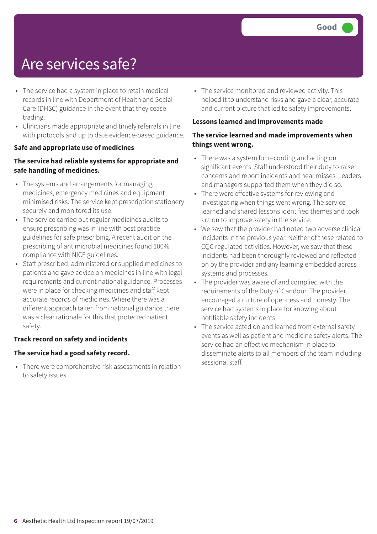### Are services safe?

- The service had a system in place to retain medical records in line with Department of Health and Social Care (DHSC) guidance in the event that they cease trading.
- Clinicians made appropriate and timely referrals in line with protocols and up to date evidence-based guidance.

#### **Safe and appropriate use of medicines**

#### **The service had reliable systems for appropriate and safe handling of medicines.**

- The systems and arrangements for managing medicines, emergency medicines and equipment minimised risks. The service kept prescription stationery securely and monitored its use.
- The service carried out regular medicines audits to ensure prescribing was in line with best practice guidelines for safe prescribing. A recent audit on the prescribing of antimicrobial medicines found 100% compliance with NICE guidelines.
- Staff prescribed, administered or supplied medicines to patients and gave advice on medicines in line with legal requirements and current national guidance. Processes were in place for checking medicines and staff kept accurate records of medicines. Where there was a different approach taken from national guidance there was a clear rationale for this that protected patient safety.

#### **Track record on safety and incidents**

#### **The service had a good safety record.**

• There were comprehensive risk assessments in relation to safety issues.

• The service monitored and reviewed activity. This helped it to understand risks and gave a clear, accurate and current picture that led to safety improvements.

#### **Lessons learned and improvements made**

#### **The service learned and made improvements when things went wrong.**

- There was a system for recording and acting on significant events. Staff understood their duty to raise concerns and report incidents and near misses. Leaders and managers supported them when they did so.
- There were effective systems for reviewing and investigating when things went wrong. The service learned and shared lessons identified themes and took action to improve safety in the service.
- We saw that the provider had noted two adverse clinical incidents in the previous year. Neither of these related to CQC regulated activities. However, we saw that these incidents had been thoroughly reviewed and reflected on by the provider and any learning embedded across systems and processes.
- The provider was aware of and complied with the requirements of the Duty of Candour. The provider encouraged a culture of openness and honesty. The service had systems in place for knowing about notifiable safety incidents
- The service acted on and learned from external safety events as well as patient and medicine safety alerts. The service had an effective mechanism in place to disseminate alerts to all members of the team including sessional staff.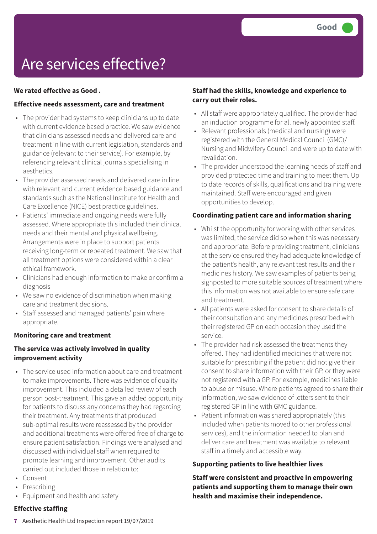### Are services effective?

#### **We rated effective as Good .**

#### **Effective needs assessment, care and treatment**

- The provider had systems to keep clinicians up to date with current evidence based practice. We saw evidence that clinicians assessed needs and delivered care and treatment in line with current legislation, standards and guidance (relevant to their service). For example, by referencing relevant clinical journals specialising in aesthetics.
- The provider assessed needs and delivered care in line with relevant and current evidence based guidance and standards such as the National Institute for Health and Care Excellence (NICE) best practice guidelines.
- Patients' immediate and ongoing needs were fully assessed. Where appropriate this included their clinical needs and their mental and physical wellbeing. Arrangements were in place to support patients receiving long-term or repeated treatment. We saw that all treatment options were considered within a clear ethical framework.
- Clinicians had enough information to make or confirm a diagnosis
- We saw no evidence of discrimination when making care and treatment decisions.
- Staff assessed and managed patients' pain where appropriate.

#### **Monitoring care and treatment**

#### **The service was actively involved in quality improvement activity**.

- The service used information about care and treatment to make improvements. There was evidence of quality improvement. This included a detailed review of each person post-treatment. This gave an added opportunity for patients to discuss any concerns they had regarding their treatment. Any treatments that produced sub-optimal results were reassessed by the provider and additional treatments were offered free of charge to ensure patient satisfaction. Findings were analysed and discussed with individual staff when required to promote learning and improvement. Other audits carried out included those in relation to:
- Consent
- Prescribing
- Equipment and health and safety

#### **Effective staffing**

#### **Staff had the skills, knowledge and experience to carry out their roles.**

- All staff were appropriately qualified. The provider had an induction programme for all newly appointed staff.
- Relevant professionals (medical and nursing) were registered with the General Medical Council (GMC)/ Nursing and Midwifery Council and were up to date with revalidation.
- The provider understood the learning needs of staff and provided protected time and training to meet them. Up to date records of skills, qualifications and training were maintained. Staff were encouraged and given opportunities to develop.

#### **Coordinating patient care and information sharing**

- Whilst the opportunity for working with other services was limited, the service did so when this was necessary and appropriate. Before providing treatment, clinicians at the service ensured they had adequate knowledge of the patient's health, any relevant test results and their medicines history. We saw examples of patients being signposted to more suitable sources of treatment where this information was not available to ensure safe care and treatment.
- All patients were asked for consent to share details of their consultation and any medicines prescribed with their registered GP on each occasion they used the service.
- The provider had risk assessed the treatments they offered. They had identified medicines that were not suitable for prescribing if the patient did not give their consent to share information with their GP, or they were not registered with a GP. For example, medicines liable to abuse or misuse. Where patients agreed to share their information, we saw evidence of letters sent to their registered GP in line with GMC guidance.
- Patient information was shared appropriately (this included when patients moved to other professional services), and the information needed to plan and deliver care and treatment was available to relevant staff in a timely and accessible way.

#### **Supporting patients to live healthier lives**

**Staff were consistent and proactive in empowering patients and supporting them to manage their own health and maximise their independence.**

**7** Aesthetic Health Ltd Inspection report 19/07/2019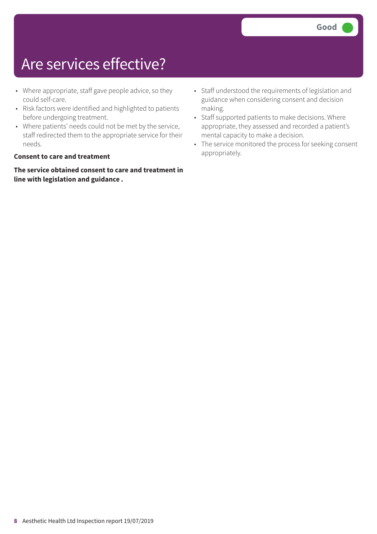### Are services effective?

- Where appropriate, staff gave people advice, so they could self-care.
- Risk factors were identified and highlighted to patients before undergoing treatment.
- Where patients' needs could not be met by the service, staff redirected them to the appropriate service for their needs.

#### **Consent to care and treatment**

**The service obtained consent to care and treatment in line with legislation and guidance .**

- Staff understood the requirements of legislation and guidance when considering consent and decision making.
- Staff supported patients to make decisions. Where appropriate, they assessed and recorded a patient's mental capacity to make a decision.
- The service monitored the process for seeking consent appropriately.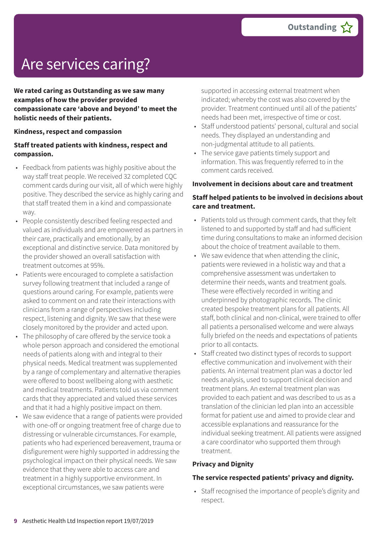# Are services caring?

**We rated caring as Outstanding as we saw many examples of how the provider provided compassionate care 'above and beyond' to meet the holistic needs of their patients.**

#### **Kindness, respect and compassion**

#### **Staff treated patients with kindness, respect and compassion.**

- Feedback from patients was highly positive about the way staff treat people. We received 32 completed CQC comment cards during our visit, all of which were highly positive. They described the service as highly caring and that staff treated them in a kind and compassionate way.
- People consistently described feeling respected and valued as individuals and are empowered as partners in their care, practically and emotionally, by an exceptional and distinctive service. Data monitored by the provider showed an overall satisfaction with treatment outcomes at 95%.
- Patients were encouraged to complete a satisfaction survey following treatment that included a range of questions around caring. For example, patients were asked to comment on and rate their interactions with clinicians from a range of perspectives including respect, listening and dignity. We saw that these were closely monitored by the provider and acted upon.
- The philosophy of care offered by the service took a whole person approach and considered the emotional needs of patients along with and integral to their physical needs. Medical treatment was supplemented by a range of complementary and alternative therapies were offered to boost wellbeing along with aesthetic and medical treatments. Patients told us via comment cards that they appreciated and valued these services and that it had a highly positive impact on them.
- We saw evidence that a range of patients were provided with one-off or ongoing treatment free of charge due to distressing or vulnerable circumstances. For example, patients who had experienced bereavement, trauma or disfigurement were highly supported in addressing the psychological impact on their physical needs. We saw evidence that they were able to access care and treatment in a highly supportive environment. In exceptional circumstances, we saw patients were

supported in accessing external treatment when indicated; whereby the cost was also covered by the provider. Treatment continued until all of the patients' needs had been met, irrespective of time or cost.

- Staff understood patients' personal, cultural and social needs. They displayed an understanding and non-judgmental attitude to all patients.
- The service gave patients timely support and information. This was frequently referred to in the comment cards received.

#### **Involvement in decisions about care and treatment**

#### **Staff helped patients to be involved in decisions about care and treatment.**

- Patients told us through comment cards, that they felt listened to and supported by staff and had sufficient time during consultations to make an informed decision about the choice of treatment available to them.
- We saw evidence that when attending the clinic, patients were reviewed in a holistic way and that a comprehensive assessment was undertaken to determine their needs, wants and treatment goals. These were effectively recorded in writing and underpinned by photographic records. The clinic created bespoke treatment plans for all patients. All staff, both clinical and non-clinical, were trained to offer all patients a personalised welcome and were always fully briefed on the needs and expectations of patients prior to all contacts.
- Staff created two distinct types of records to support effective communication and involvement with their patients. An internal treatment plan was a doctor led needs analysis, used to support clinical decision and treatment plans. An external treatment plan was provided to each patient and was described to us as a translation of the clinician led plan into an accessible format for patient use and aimed to provide clear and accessible explanations and reassurance for the individual seeking treatment. All patients were assigned a care coordinator who supported them through treatment.

#### **Privacy and Dignity**

#### **The service respected patients' privacy and dignity.**

• Staff recognised the importance of people's dignity and respect.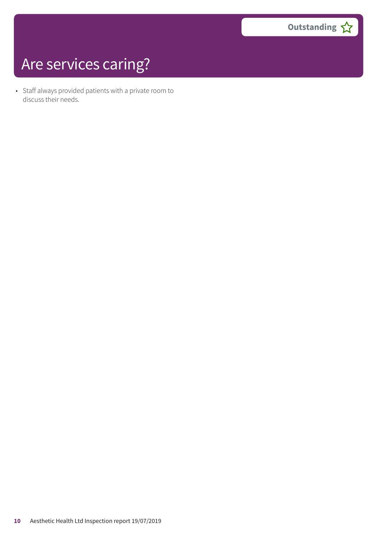# Are services caring?

• Staff always provided patients with a private room to discuss their needs.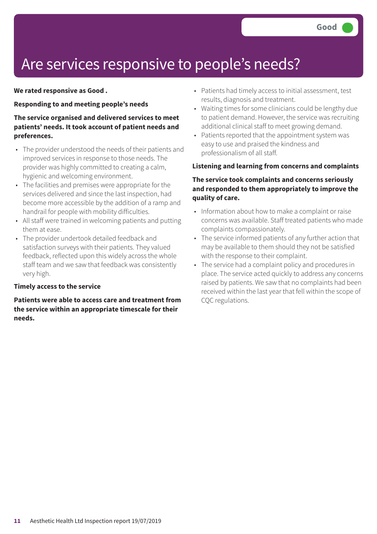### Are services responsive to people's needs?

#### **We rated responsive as Good .**

#### **Responding to and meeting people's needs**

#### **The service organised and delivered services to meet patients' needs. It took account of patient needs and preferences.**

- The provider understood the needs of their patients and improved services in response to those needs. The provider was highly committed to creating a calm, hygienic and welcoming environment.
- The facilities and premises were appropriate for the services delivered and since the last inspection, had become more accessible by the addition of a ramp and handrail for people with mobility difficulties.
- All staff were trained in welcoming patients and putting them at ease.
- The provider undertook detailed feedback and satisfaction surveys with their patients. They valued feedback, reflected upon this widely across the whole staff team and we saw that feedback was consistently very high.

#### **Timely access to the service**

**Patients were able to access care and treatment from the service within an appropriate timescale for their needs.**

- Patients had timely access to initial assessment, test results, diagnosis and treatment.
- Waiting times for some clinicians could be lengthy due to patient demand. However, the service was recruiting additional clinical staff to meet growing demand.
- Patients reported that the appointment system was easy to use and praised the kindness and professionalism of all staff.

#### **Listening and learning from concerns and complaints**

#### **The service took complaints and concerns seriously and responded to them appropriately to improve the quality of care.**

- Information about how to make a complaint or raise concerns was available. Staff treated patients who made complaints compassionately.
- The service informed patients of any further action that may be available to them should they not be satisfied with the response to their complaint.
- The service had a complaint policy and procedures in place. The service acted quickly to address any concerns raised by patients. We saw that no complaints had been received within the last year that fell within the scope of CQC regulations.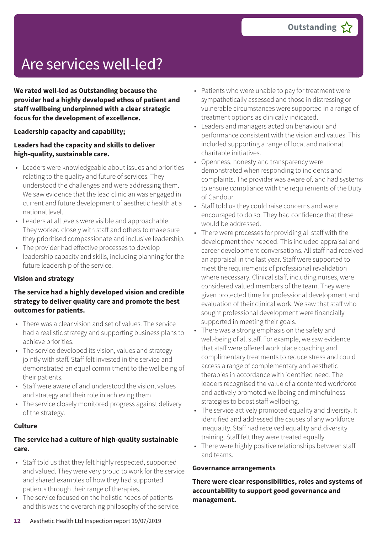## Are services well-led?

**We rated well-led as Outstanding because the provider had a highly developed ethos of patient and staff wellbeing underpinned with a clear strategic focus for the development of excellence.**

#### **Leadership capacity and capability;**

#### **Leaders had the capacity and skills to deliver high-quality, sustainable care.**

- Leaders were knowledgeable about issues and priorities relating to the quality and future of services. They understood the challenges and were addressing them. We saw evidence that the lead clinician was engaged in current and future development of aesthetic health at a national level.
- Leaders at all levels were visible and approachable. They worked closely with staff and others to make sure they prioritised compassionate and inclusive leadership.
- The provider had effective processes to develop leadership capacity and skills, including planning for the future leadership of the service.

#### **Vision and strategy**

#### **The service had a highly developed vision and credible strategy to deliver quality care and promote the best outcomes for patients.**

- There was a clear vision and set of values. The service had a realistic strategy and supporting business plans to achieve priorities.
- The service developed its vision, values and strategy jointly with staff. Staff felt invested in the service and demonstrated an equal commitment to the wellbeing of their patients.
- Staff were aware of and understood the vision, values and strategy and their role in achieving them
- The service closely monitored progress against delivery of the strategy.

#### **Culture**

#### **The service had a culture of high-quality sustainable care.**

- Staff told us that they felt highly respected, supported and valued. They were very proud to work for the service and shared examples of how they had supported patients through their range of therapies.
- The service focused on the holistic needs of patients and this was the overarching philosophy of the service.
- Patients who were unable to pay for treatment were sympathetically assessed and those in distressing or vulnerable circumstances were supported in a range of treatment options as clinically indicated.
- Leaders and managers acted on behaviour and performance consistent with the vision and values. This included supporting a range of local and national charitable initiatives.
- Openness, honesty and transparency were demonstrated when responding to incidents and complaints. The provider was aware of, and had systems to ensure compliance with the requirements of the Duty of Candour.
- Staff told us they could raise concerns and were encouraged to do so. They had confidence that these would be addressed.
- There were processes for providing all staff with the development they needed. This included appraisal and career development conversations. All staff had received an appraisal in the last year. Staff were supported to meet the requirements of professional revalidation where necessary. Clinical staff, including nurses, were considered valued members of the team. They were given protected time for professional development and evaluation of their clinical work. We saw that staff who sought professional development were financially supported in meeting their goals.
- There was a strong emphasis on the safety and well-being of all staff. For example, we saw evidence that staff were offered work place coaching and complimentary treatments to reduce stress and could access a range of complementary and aesthetic therapies in accordance with identified need. The leaders recognised the value of a contented workforce and actively promoted wellbeing and mindfulness strategies to boost staff wellbeing.
- The service actively promoted equality and diversity. It identified and addressed the causes of any workforce inequality. Staff had received equality and diversity training. Staff felt they were treated equally.
- There were highly positive relationships between staff and teams.

#### **Governance arrangements**

**There were clear responsibilities, roles and systems of accountability to support good governance and management.**